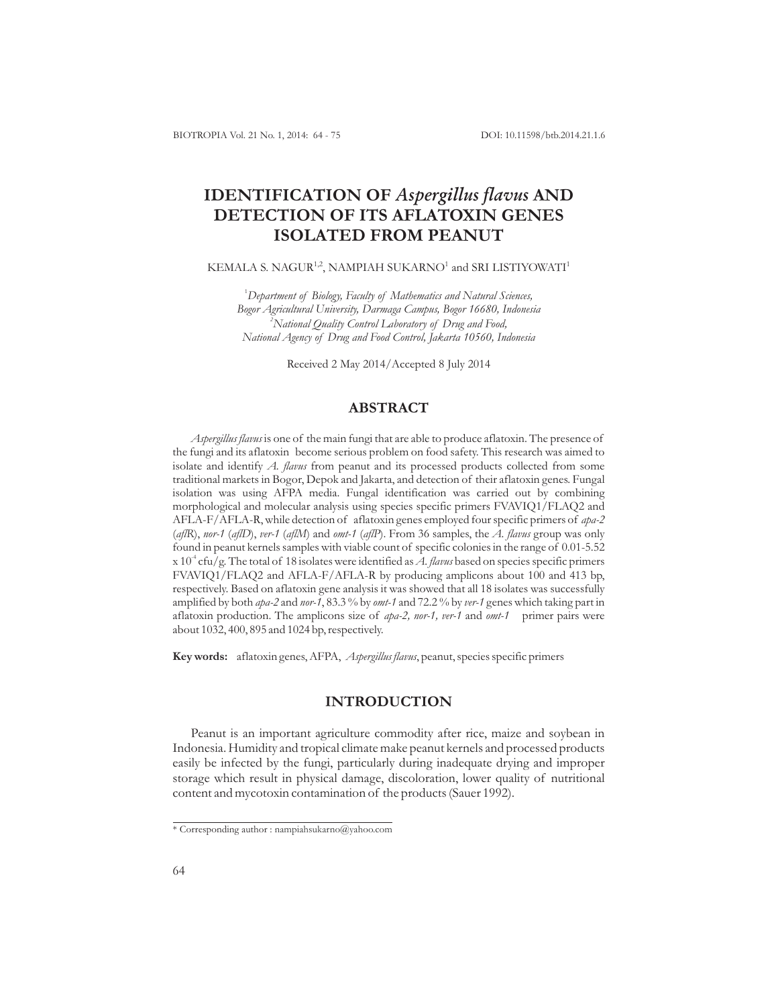DOI: 10.11598/btb.2014.21.1.6

# **IDENTIFICATION OF Aspergillus flavus AND DETECTION OF ITS AFLATOXIN GENES ISOLATED FROM PEANUT**

### KEMALA S. NAGUR $^{1,2}$ , NAMPIAH SUKARNO $^1$  and SRI LISTIYOWATI $^1$

1 *Department of Biology, Faculty of Mathematics and Natural Sciences, Bogor Agricultural University, Darmaga Campus, Bogor 16680, Indonesia National Quality Control Laboratory of Drug and Food, 2 National Agency of Drug and Food Control, Jakarta 10560, Indonesia*

Received 2 May 2014/Accepted 8 July 2014

# **ABSTRACT**

Aspergillus flavus is one of the main fungi that are able to produce aflatoxin. The presence of the fungi and its aflatoxin become serious problem on food safety. This research was aimed to isolate and identify A. flavus from peanut and its processed products collected from some traditional markets in Bogor, Depok and Jakarta, and detection of their aflatoxin genes. Fungal isolation was using AFPA media. Fungal identification was carried out by combining morphological and molecular analysis using species specific primers FVAVIQ1/FLAQ2 and AFLA-F/AFLA-R, while detection of aflatoxin genes employed four specific primers of *apa-2* (af/R), nor-1 (aflD), ver-1 (aflM) and omt-1 (aflP). From 36 samples, the A. flavus group was only found in peanut kernels samples with viable count of specific colonies in the range of 0.01-5.52 x 10<sup>4</sup> cfu/g. The total of 18 isolates were identified as A. flavus based on species specific primers FVAVIQ1/FLAQ2 and AFLA-F/AFLA-R by producing amplicons about 100 and 413 bp, respectively. Based on aflatoxin gene analysis it was showed that all 18 isolates was successfully amplified by both *apa-2* and nor-1, 83.3 % by omt-1 and 72.2 % by ver-1 genes which taking part in aflatoxin production. The amplicons size of *apa-2, nor-1, ver-1* and *omt-1* primer pairs were about 1032, 400, 895 and 1024 bp, respectively.

Key words: aflatoxin genes, AFPA, Aspergillus flavus, peanut, species specific primers

# **INTRODUCTION**

Peanut is an important agriculture commodity after rice, maize and soybean in Indonesia. Humidity and tropical climate make peanut kernels and processed products easily be infected by the fungi, particularly during inadequate drying and improper storage which result in physical damage, discoloration, lower quality of nutritional content and mycotoxin contamination of the products (Sauer 1992).

<sup>\*</sup> Corresponding author : nampiahsukarno@yahoo.com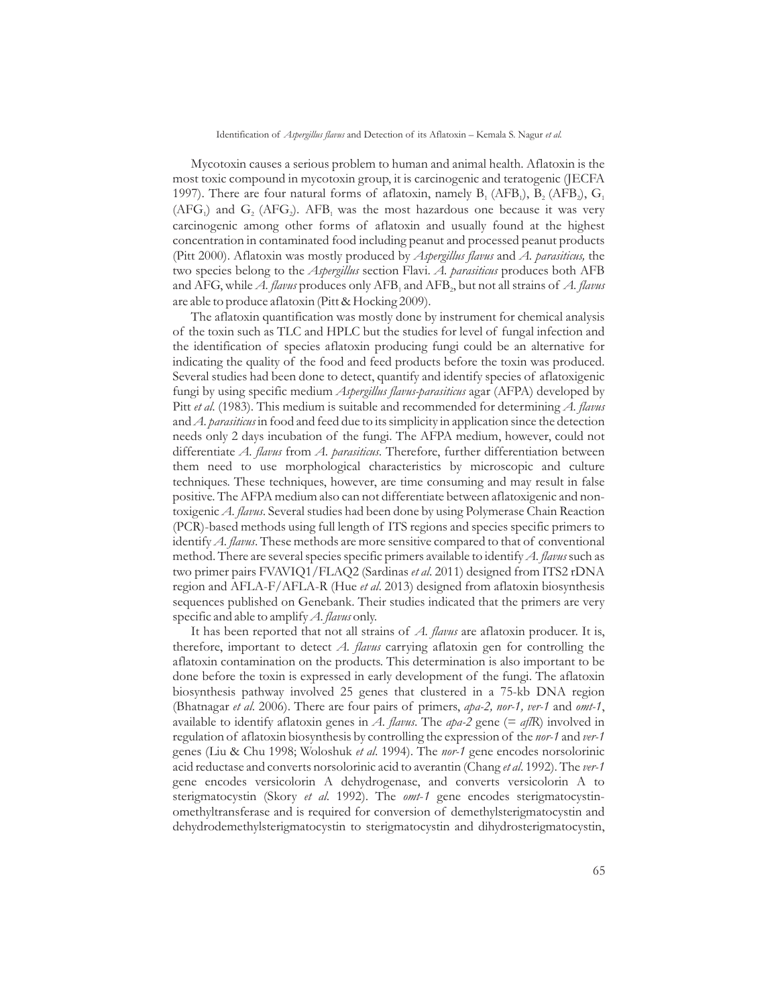#### Identification of Aspergillus flavus and Detection of its Aflatoxin - Kemala S. Nagur et al.

Mycotoxin causes a serious problem to human and animal health. Aflatoxin is the most toxic compound in mycotoxin group, it is carcinogenic and teratogenic (JECFA 1997). There are four natural forms of aflatoxin, namely  $B_1$  (AFB<sub>1</sub>),  $B_2$  (AFB<sub>2</sub>),  $G_1$  $(AFG_1)$  and  $G_2$  (AFG<sub>2</sub>). AFB<sub>1</sub> was the most hazardous one because it was very carcinogenic among other forms of aflatoxin and usually found at the highest concentration in contaminated food including peanut and processed peanut products (Pitt 2000). Aflatoxin was mostly produced by Aspergillus flavus and A. parasiticus, the two species belong to the *Aspergillus* section Flavi. A. *parasiticus* produces both AFB and AFG, while *A. flavus* produces only  $\mathrm{AFB}_1$  and  $\mathrm{AFB}_2$ , but not all strains of *A. flavus* are able to produce aflatoxin (Pitt & Hocking 2009).

The aflatoxin quantification was mostly done by instrument for chemical analysis of the toxin such as TLC and HPLC but the studies for level of fungal infection and the identification of species aflatoxin producing fungi could be an alternative for indicating the quality of the food and feed products before the toxin was produced. Several studies had been done to detect, quantify and identify species of aflatoxigenic fungi by using specific medium *Aspergillus flavus-parasiticus* agar (AFPA) developed by Pitt et al. (1983). This medium is suitable and recommended for determining A. flavus and A. parasiticus in food and feed due to its simplicity in application since the detection needs only 2 days incubation of the fungi. The AFPA medium, however, could not differentiate A. flavus from A. parasiticus. Therefore, further differentiation between them need to use morphological characteristics by microscopic and culture techniques. These techniques, however, are time consuming and may result in false positive. The AFPA medium also can not differentiate between aflatoxigenic and nontoxigenic A. flavus. Several studies had been done by using Polymerase Chain Reaction (PCR)-based methods using full length of ITS regions and species specific primers to identify A. flavus. These methods are more sensitive compared to that of conventional method. There are several species specific primers available to identify A. flavus such as two primer pairs FVAVIQ1/FLAQ2 (Sardinas et al. 2011) designed from ITS2 rDNA region and AFLA-F/AFLA-R (Hue et al. 2013) designed from aflatoxin biosynthesis sequences published on Genebank. Their studies indicated that the primers are very specific and able to amplify A. flavus only.

It has been reported that not all strains of A. flavus are aflatoxin producer. It is, therefore, important to detect A. flavus carrying aflatoxin gen for controlling the aflatoxin contamination on the products. This determination is also important to be done before the toxin is expressed in early development of the fungi. The aflatoxin biosynthesis pathway involved 25 genes that clustered in a 75-kb DNA region (Bhatnagar et al. 2006). There are four pairs of primers, apa-2, nor-1, ver-1 and omt-1, available to identify aflatoxin genes in A. flavus. The apa-2 gene (= af/R) involved in regulation of aflatoxin biosynthesis by controlling the expression of the nor-1 and ver-1 genes (Liu & Chu 1998; Woloshuk et al. 1994). The nor-1 gene encodes norsolorinic acid reductase and converts norsolorinic acid to averantin (Chang et al. 1992). The ver-1 gene encodes versicolorin A dehydrogenase, and converts versicolorin A to sterigmatocystin (Skory et al. 1992). The omt-1 gene encodes sterigmatocystinomethyltransferase and is required for conversion of demethylsterigmatocystin and dehydrodemethylsterigmatocystin to sterigmatocystin and dihydrosterigmatocystin,

65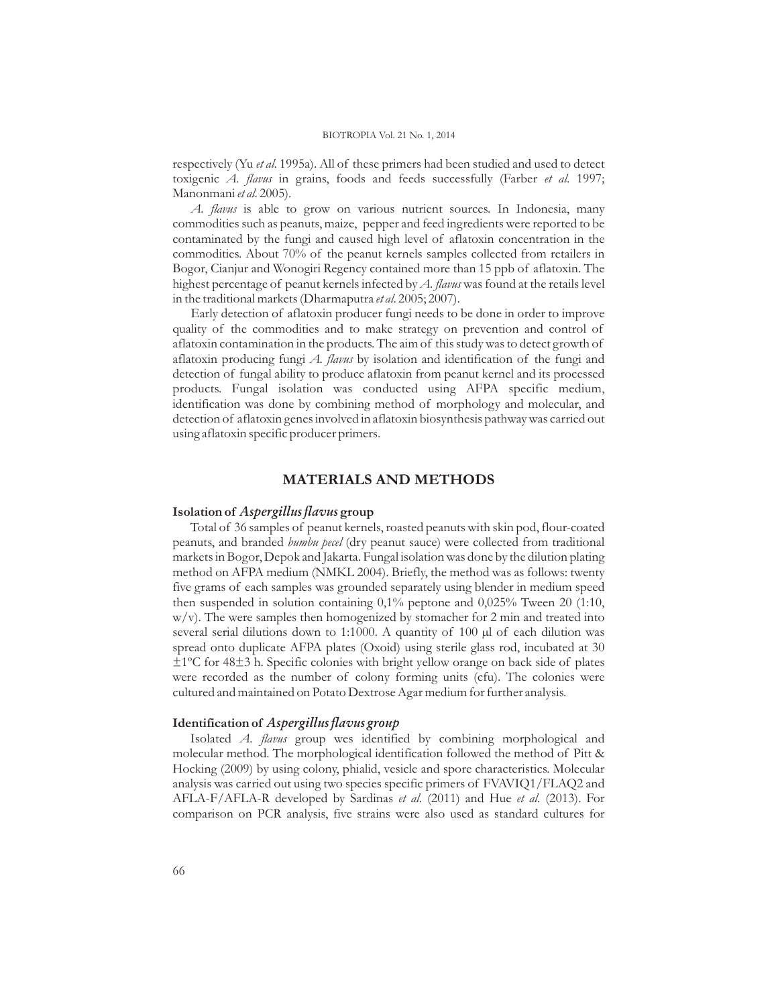respectively (Yu et al. 1995a). All of these primers had been studied and used to detect toxigenic A. flavus in grains, foods and feeds successfully (Farber et al. 1997; Manonmani *et al*. 2005).

A. flavus is able to grow on various nutrient sources. In Indonesia, many commodities such as peanuts, maize, pepper and feed ingredients were reported to be contaminated by the fungi and caused high level of aflatoxin concentration in the commodities. About 70% of the peanut kernels samples collected from retailers in Bogor, Cianjur and Wonogiri Regency contained more than 15 ppb of aflatoxin. The highest percentage of peanut kernels infected by A. flavus was found at the retails level in the traditional markets (Dharmaputra et al. 2005; 2007).

Early detection of aflatoxin producer fungi needs to be done in order to improve quality of the commodities and to make strategy on prevention and control of aflatoxin contamination in the products. The aim of this study was to detect growth of aflatoxin producing fungi *A. flavus* by isolation and identification of the fungi and detection of fungal ability to produce aflatoxin from peanut kernel and its processed products. Fungal isolation was conducted using AFPA specific medium, identification was done by combining method of morphology and molecular, and detection of aflatoxin genes involved in aflatoxin biosynthesis pathway was carried out using aflatoxin specific producer primers.

# **MATERIALS AND METHODS**

### Isolation of *Aspergillus flavus* group

Total of 36 samples of peanut kernels, roasted peanuts with skin pod, flour-coated peanuts, and branded *bumbu pecel* (dry peanut sauce) were collected from traditional markets in Bogor, Depok and Jakarta. Fungal isolation was done by the dilution plating method on AFPA medium (NMKL 2004). Briefly, the method was as follows: twenty five grams of each samples was grounded separately using blender in medium speed then suspended in solution containing 0,1% peptone and 0,025% Tween 20 (1:10, w/v). The were samples then homogenized by stomacher for 2 min and treated into several serial dilutions down to 1:1000. A quantity of 100  $\mu$ l of each dilution was spread onto duplicate AFPA plates (Oxoid) using sterile glass rod, incubated at 30 ±1ºC for 48±3 h. Specific colonies with bright yellow orange on back side of plates were recorded as the number of colony forming units (cfu). The colonies were cultured and maintained on Potato Dextrose Agar medium for further analysis.

### **Identification of** *Aspergillus flavus group*

Isolated A. flavus group wes identified by combining morphological and molecular method. The morphological identification followed the method of Pitt & Hocking (2009) by using colony, phialid, vesicle and spore characteristics. Molecular analysis was carried out using two species specific primers of FVAVIQ1/FLAQ2 and AFLA-F/AFLA-R developed by Sardinas et al. (2011) and Hue et al. (2013). For comparison on PCR analysis, five strains were also used as standard cultures for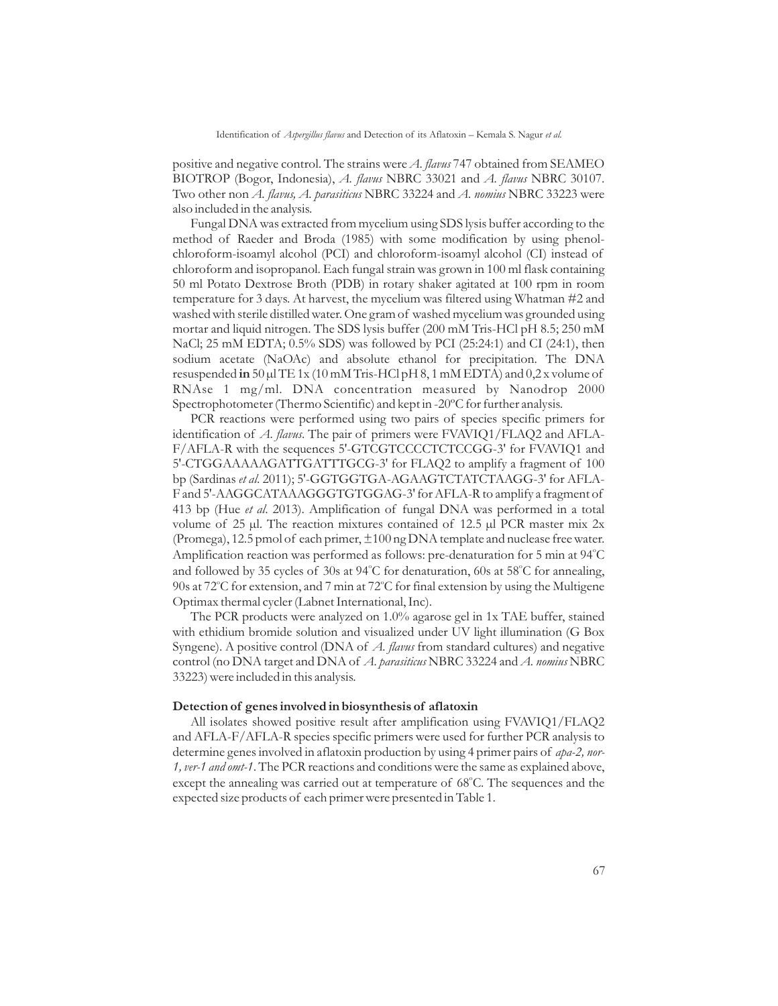positive and negative control. The strains were A. flavus 747 obtained from SEAMEO BIOTROP (Bogor, Indonesia), A. flavus NBRC 33021 and A. flavus NBRC 30107. Two other non *A. flavus, A. parasiticus* NBRC 33224 and *A. nomius* NBRC 33223 were also included in the analysis.

Fungal DNA was extracted from mycelium using SDS lysis buffer according to the method of Raeder and Broda (1985) with some modification by using phenolchloroform-isoamyl alcohol (PCI) and chloroform-isoamyl alcohol (CI) instead of chloroform and isopropanol. Each fungal strain was grown in 100 ml flask containing 50 ml Potato Dextrose Broth (PDB) in rotary shaker agitated at 100 rpm in room temperature for 3 days. At harvest, the mycelium was filtered using Whatman #2 and washed with sterile distilled water. One gram of washed mycelium was grounded using mortar and liquid nitrogen. The SDS lysis buffer (200 mM Tris-HCl pH 8.5; 250 mM NaCl; 25 mM EDTA; 0.5% SDS) was followed by PCI (25:24:1) and CI (24:1), then sodium acetate (NaOAc) and absolute ethanol for precipitation. The DNA resuspended in 50  $\mu$ l TE 1x (10 mM Tris-HCl pH 8, 1 mM EDTA) and 0,2 x volume of RNAse 1 mg/ml. DNA concentration measured by Nanodrop 2000 Spectrophotometer (Thermo Scientific) and kept in -20ºC for further analysis.

PCR reactions were performed using two pairs of species specific primers for identification of A. flavus. The pair of primers were FVAVIQ1/FLAQ2 and AFLA-F/AFLA-R with the sequences 5'-GTCGTCCCCTCTCCGG-3' for FVAVIQ1 and 5'-CTGGAAAAAGATTGATTTGCG-3' for FLAQ2 to amplify a fragment of 100 bp (Sardinas et al. 2011); 5'-GGTGGTGA-AGAAGTCTATCTAAGG-3' for AFLA-F and 5'-AAGGCATAAAGGGTGTGGAG-3' for AFLA-R to amplify a fragment of 413 bp (Hue et al. 2013). Amplification of fungal DNA was performed in a total volume of 25 µl. The reaction mixtures contained of 12.5 µl PCR master mix 2x (Promega), 12.5 pmol of each primer, ±100 ng DNA template and nuclease free water. Amplification reaction was performed as follows: pre-denaturation for 5 min at 94°C and followed by 35 cycles of 30s at 94°C for denaturation, 60s at 58°C for annealing, 90s at 72°C for extension, and 7 min at 72°C for final extension by using the Multigene Optimax thermal cycler (Labnet International, Inc).

The PCR products were analyzed on 1.0% agarose gel in 1x TAE buffer, stained with ethidium bromide solution and visualized under UV light illumination (G Box Syngene). A positive control (DNA of *A. flavus* from standard cultures) and negative control (no DNA target and DNA of A. parasiticus NBRC 33224 and A. nomius NBRC 33223) were included in this analysis.

#### **Detection of genes involved in biosynthesis of aflatoxin**

All isolates showed positive result after amplification using FVAVIQ1/FLAQ2 and AFLA-F/AFLA-R species specific primers were used for further PCR analysis to determine genes involved in aflatoxin production by using 4 primer pairs of *apa-2, nor-*1, ver-1 and omt-1. The PCR reactions and conditions were the same as explained above, except the annealing was carried out at temperature of 68°C. The sequences and the expected size products of each primer were presented in Table 1.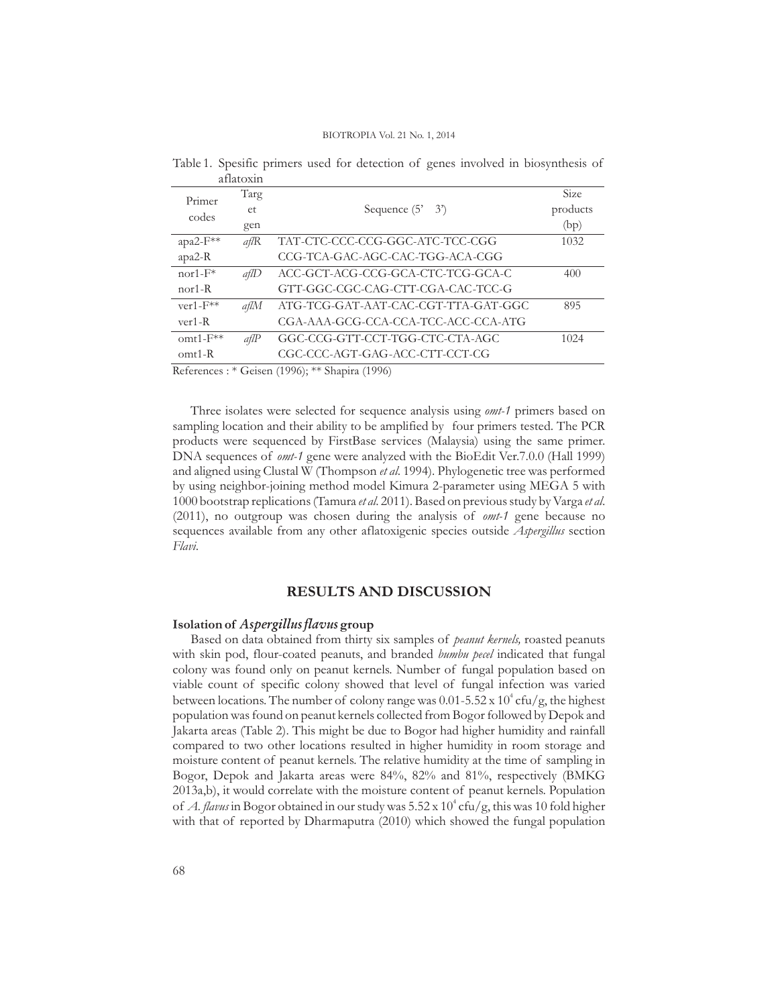|                   | aliatonii |                                     |             |
|-------------------|-----------|-------------------------------------|-------------|
| Primer<br>codes   | Targ      |                                     | <b>Size</b> |
|                   | et        | Sequence $(5' \quad 3')$            | products    |
|                   | gen       |                                     | (bp)        |
| apa2-F**          | a f R     | TAT-CTC-CCC-CCG-GGC-ATC-TCC-CGG     | 1032        |
| $apa2-R$          |           | CCG-TCA-GAC-AGC-CAC-TGG-ACA-CGG     |             |
| $nor1-F*$         | a f l D   | ACC-GCT-ACG-CCG-GCA-CTC-TCG-GCA-C   | 400         |
| $nor1-R$          |           | GTT-GGC-CGC-CAG-CTT-CGA-CAC-TCC-G   |             |
| $ver1-F**$        | aflM      | ATG-TCG-GAT-AAT-CAC-CGT-TTA-GAT-GGC | 895         |
| $ver1-R$          |           | CGA-AAA-GCG-CCA-CCA-TCC-ACC-CCA-ATG |             |
| $\text{omtl-F**}$ | a f l P   | GGC-CCG-GTT-CCT-TGG-CTC-CTA-AGC     | 1024        |
| $omt1-R$          |           | CGC-CCC-AGT-GAG-ACC-CTT-CCT-CG      |             |
|                   |           |                                     |             |

Table 1. Spesific primers used for detection of genes involved in biosynthesis of aflatoxin

References : \* Geisen (1996); \*\* Shapira (1996)

Three isolates were selected for sequence analysis using omt-1 primers based on sampling location and their ability to be amplified by four primers tested. The PCR products were sequenced by FirstBase services (Malaysia) using the same primer. DNA sequences of omt-1 gene were analyzed with the BioEdit Ver.7.0.0 (Hall 1999) and aligned using Clustal W (Thompson *et al.* 1994). Phylogenetic tree was performed by using neighbor-joining method model Kimura 2-parameter using MEGA 5 with 1000 bootstrap replications (Tamura et al. 2011). Based on previous study by Varga et al. (2011), no outgroup was chosen during the analysis of omt-1 gene because no sequences available from any other aflatoxigenic species outside Aspergillus section . *Flavi*

# **RESULTS AND DISCUSSION**

### **Isolation of Aspergillus flavus** group

Based on data obtained from thirty six samples of *peanut kernels*, roasted peanuts with skin pod, flour-coated peanuts, and branded *bumbu pecel* indicated that fungal colony was found only on peanut kernels. Number of fungal population based on viable count of specific colony showed that level of fungal infection was varied between locations. The number of colony range was  $0.01$ -5.52 x  $10^4$  cfu/g, the highest population was found on peanut kernels collected from Bogor followed by Depok and Jakarta areas (Table 2). This might be due to Bogor had higher humidity and rainfall compared to two other locations resulted in higher humidity in room storage and moisture content of peanut kernels. The relative humidity at the time of sampling in Bogor, Depok and Jakarta areas were 84%, 82% and 81%, respectively (BMKG 2013a,b), it would correlate with the moisture content of peanut kernels. Population of *A. flavus* in Bogor obtained in our study was  $5.52$  x  $10^4$  cfu/g, this was 10 fold higher with that of reported by Dharmaputra (2010) which showed the fungal population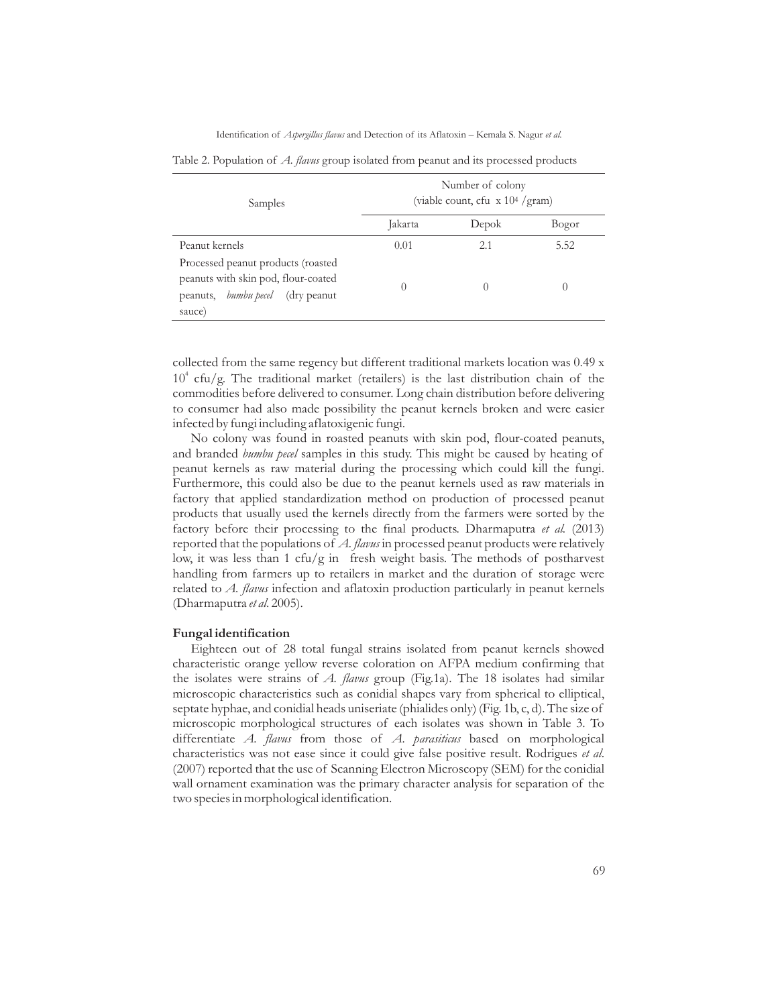Identification of Aspergillus flavus and Detection of its Aflatoxin - Kemala S. Nagur et al.

| Samples                                                                                                                            | Number of colony<br>(viable count, cfu $\bar{x}$ 10 <sup>4</sup> /gram) |                  |       |  |  |  |
|------------------------------------------------------------------------------------------------------------------------------------|-------------------------------------------------------------------------|------------------|-------|--|--|--|
|                                                                                                                                    | Jakarta                                                                 | Depok            | Bogor |  |  |  |
| Peanut kernels                                                                                                                     | 0.01                                                                    | 2.1              | 5.52  |  |  |  |
| Processed peanut products (roasted<br>peanuts with skin pod, flour-coated<br>peanuts, <i>bumbu pecel</i><br>(dry peanut)<br>sauce) | $\left( \right)$                                                        | $\left( \right)$ |       |  |  |  |

Table 2. Population of A. flavus group isolated from peanut and its processed products

collected from the same regency but different traditional markets location was 0.49 x  $10^4$  cfu/g. The traditional market (retailers) is the last distribution chain of the commodities before delivered to consumer. Long chain distribution before delivering to consumer had also made possibility the peanut kernels broken and were easier infected by fungi including aflatoxigenic fungi.

No colony was found in roasted peanuts with skin pod, flour-coated peanuts, and branded bumbu pecel samples in this study. This might be caused by heating of peanut kernels as raw material during the processing which could kill the fungi. Furthermore, this could also be due to the peanut kernels used as raw materials in factory that applied standardization method on production of processed peanut products that usually used the kernels directly from the farmers were sorted by the factory before their processing to the final products. Dharmaputra et al. (2013) reported that the populations of A. flavus in processed peanut products were relatively low, it was less than 1 cfu/g in fresh weight basis. The methods of postharvest handling from farmers up to retailers in market and the duration of storage were related to A. flavus infection and aflatoxin production particularly in peanut kernels (Dharmaputra et al. 2005).

#### **Fungal identification**

Eighteen out of 28 total fungal strains isolated from peanut kernels showed characteristic orange yellow reverse coloration on AFPA medium confirming that the isolates were strains of A. flavus group (Fig.1a). The 18 isolates had similar microscopic characteristics such as conidial shapes vary from spherical to elliptical, septate hyphae, and conidial heads uniseriate (phialides only) (Fig. 1b, c, d). The size of microscopic morphological structures of each isolates was shown in Table 3. To differentiate A. flavus from those of A. parasiticus based on morphological characteristics was not ease since it could give false positive result. Rodrigues et al. (2007) reported that the use of Scanning Electron Microscopy (SEM) for the conidial wall ornament examination was the primary character analysis for separation of the two species in morphological identification.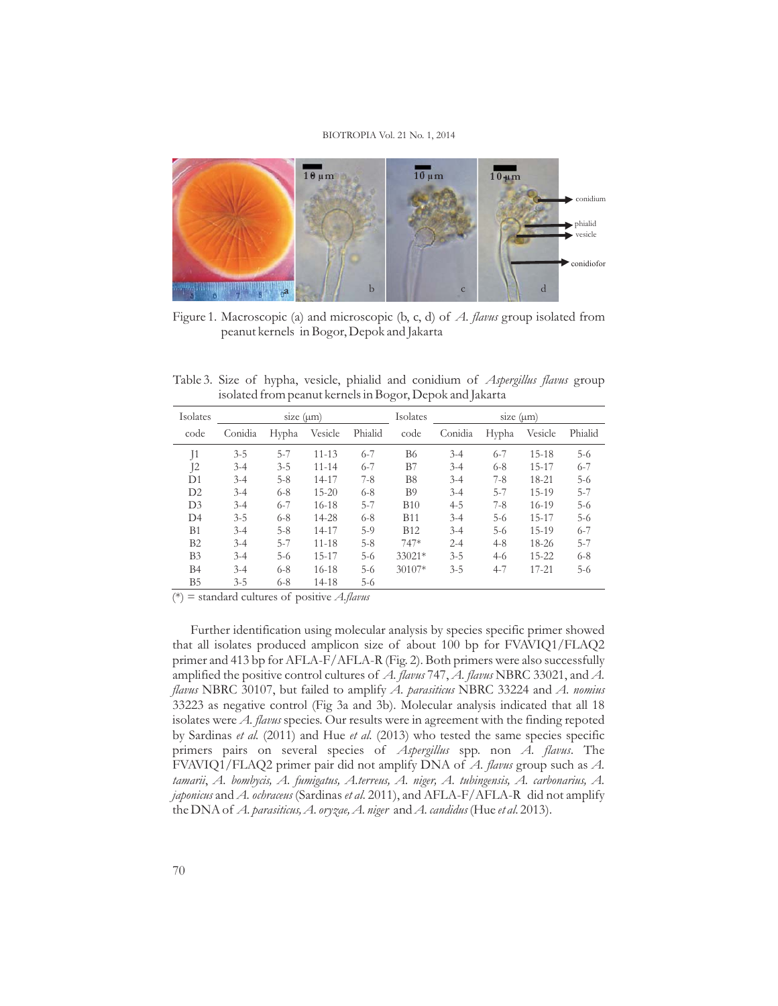

Figure 1. Macroscopic (a) and microscopic (b, c, d) of A. flavus group isolated from peanut kernels in Bogor, Depok and Jakarta

Table 3. Size of hypha, vesicle, phialid and conidium of Aspergillus flavus group isolated from peanut kernels in Bogor, Depok and Jakarta

| Isolates       | size $(\mu m)$ |         |           |         | Isolates<br>size $(\mu m)$ |         |         |           |         |
|----------------|----------------|---------|-----------|---------|----------------------------|---------|---------|-----------|---------|
| code           | Conidia        | Hypha   | Vesicle   | Phialid | code                       | Conidia | Hypha   | Vesicle   | Phialid |
| J <sub>1</sub> | $3 - 5$        | $5 - 7$ | $11 - 13$ | $6 - 7$ | <b>B</b> 6                 | $3 - 4$ | $6 - 7$ | $15-18$   | $5-6$   |
| 12             | $3-4$          | $3 - 5$ | $11 - 14$ | $6 - 7$ | B7                         | $3 - 4$ | $6 - 8$ | $15 - 17$ | $6 - 7$ |
| D1             | $3-4$          | $5 - 8$ | 14-17     | $7 - 8$ | B <sub>8</sub>             | $3 - 4$ | $7-8$   | 18-21     | $5-6$   |
| D2             | $3-4$          | $6 - 8$ | $15 - 20$ | $6 - 8$ | <b>B</b> 9                 | $3 - 4$ | $5 - 7$ | $15-19$   | $5 - 7$ |
| D <sub>3</sub> | $3 - 4$        | $6 - 7$ | $16-18$   | $5 - 7$ | <b>B10</b>                 | $4 - 5$ | $7-8$   | $16-19$   | $5-6$   |
| D4             | $3 - 5$        | $6 - 8$ | 14-28     | $6 - 8$ | <b>B11</b>                 | $3 - 4$ | $5-6$   | $15 - 17$ | $5-6$   |
| <b>B</b> 1     | $3-4$          | $5 - 8$ | 14-17     | $5-9$   | <b>B12</b>                 | $3 - 4$ | $5-6$   | 15-19     | $6 - 7$ |
| B <sub>2</sub> | $3-4$          | $5 - 7$ | $11 - 18$ | $5 - 8$ | 747*                       | $2 - 4$ | $4 - 8$ | 18-26     | $5 - 7$ |
| B <sub>3</sub> | $3-4$          | $5-6$   | 15-17     | $5 - 6$ | 33021*                     | $3 - 5$ | $4-6$   | $15 - 22$ | $6 - 8$ |
| <b>B4</b>      | $3 - 4$        | $6 - 8$ | $16-18$   | $5 - 6$ | 30107*                     | $3 - 5$ | $4 - 7$ | $17 - 21$ | $5-6$   |
| B5             | $3 - 5$        | $6 - 8$ | 14-18     | $5-6$   |                            |         |         |           |         |

(\*) = standard cultures of positive *A.flavus*

Further identification using molecular analysis by species specific primer showed that all isolates produced amplicon size of about 100 bp for FVAVIQ1/FLAQ2 primer and 413 bp for AFLA-F/AFLA-R (Fig. 2). Both primers were also successfully amplified the positive control cultures of  $A$ . flavus  $747, A$ . flavus NBRC 33021, and  $A$ . flavus NBRC 30107, but failed to amplify A. parasiticus NBRC 33224 and A. nomius 33223 as negative control (Fig 3a and 3b). Molecular analysis indicated that all 18 isolates were A. flavus species. Our results were in agreement with the finding repoted by Sardinas et al. (2011) and Hue et al. (2013) who tested the same species specific primers pairs on several species of Aspergillus spp. non A. flavus. The FVAVIQ1/FLAQ2 primer pair did not amplify DNA of A. flavus group such as A. , *tamarii A. bombycis, A. fumigatus, A.terreus, A. niger, A. tubingensis, A. carbonarius, A. japonicus* and  $A$ . *ochraceus* (Sardinas *et al*. 2011), and AFLA-F/AFLA-R  $\,$  did not amplify the DNA of *A. parasiticus, A. oryzae, A. niger and A. candidus* (Hue *et al.* 2013).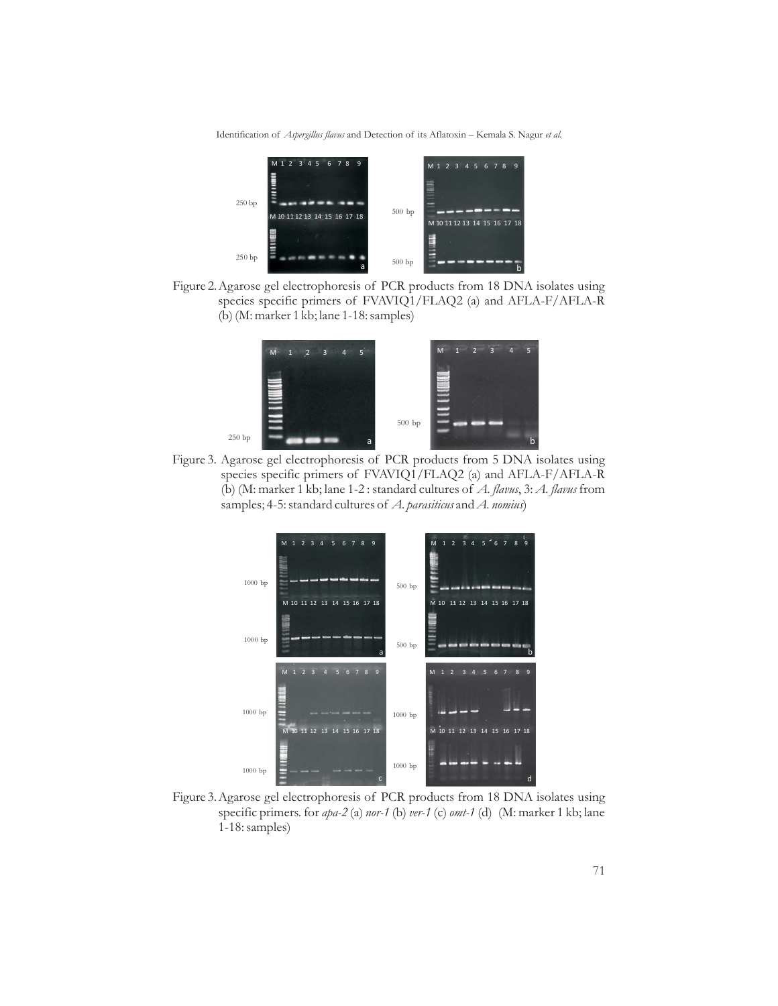Identification of Aspergillus flavus and Detection of its Aflatoxin - Kemala S. Nagur et al.



Figure 2.Agarose gel electrophoresis of PCR products from 18 DNA isolates using species specific primers of FVAVIQ1/FLAQ2 (a) and AFLA-F/AFLA-R (b) (M: marker 1 kb; lane 1-18: samples)



Figure 3. Agarose gel electrophoresis of PCR products from 5 DNA isolates using species specific primers of FVAVIQ1/FLAQ2 (a) and AFLA-F/AFLA-R (b) (M: marker 1 kb; lane 1-2 : standard cultures of A. flavus, 3: A. flavus from samples; 4-5: standard cultures of A. parasiticus and A. nomius)



Figure 3.Agarose gel electrophoresis of PCR products from 18 DNA isolates using specific primers. for *apa-2* (a) nor-1 (b) ver-1 (c) omt-1 (d) (M: marker 1 kb; lane 1-18: samples)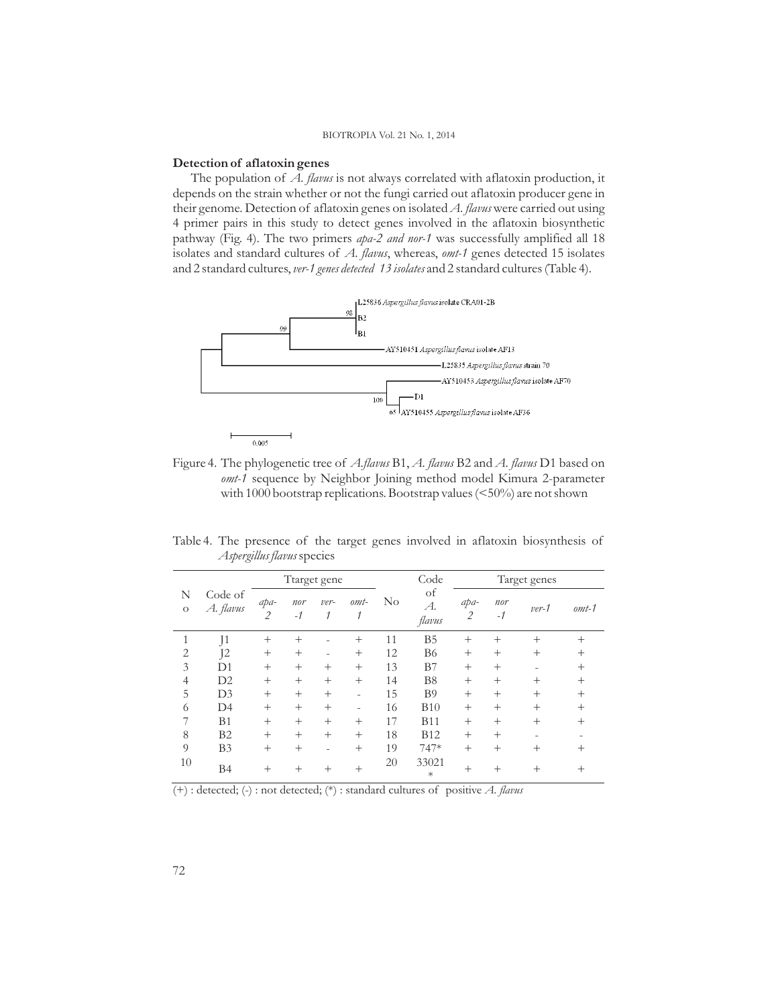### **Detection of aflatoxin genes**

The population of A. flavus is not always correlated with aflatoxin production, it depends on the strain whether or not the fungi carried out aflatoxin producer gene in their genome. Detection of aflatoxin genes on isolated A. flavus were carried out using 4 primer pairs in this study to detect genes involved in the aflatoxin biosynthetic pathway (Fig. 4). The two primers *apa-2 and nor-1* was successfully amplified all 18 isolates and standard cultures of A. flavus, whereas, omt-1 genes detected 15 isolates and 2 standard cultures, *ver-1 genes detected 13 isolates* and 2 standard cultures (Table 4).



Figure 4. The phylogenetic tree of *A.flavus* B1, *A. flavus* B2 and *A. flavus* D1 based on omt-1 sequence by Neighbor Joining method model Kimura 2-parameter with 1000 bootstrap replications. Bootstrap values (<50%) are not shown

Table 4. The presence of the target genes involved in aflatoxin biosynthesis of *Aspergillus flavus*species

|                                      |                | Ttarget gene       |         |              |          |                    | Code                   | Target genes |         |         |        |
|--------------------------------------|----------------|--------------------|---------|--------------|----------|--------------------|------------------------|--------------|---------|---------|--------|
| Code of<br>N<br>A. flavus<br>$\circ$ | apa-<br>2      | nor<br>$-1$        | ver-    | $omt$ -<br>1 | $\rm No$ | of<br>A.<br>flavus | apa-<br>$\overline{2}$ | nor<br>$-1$  | $ver-1$ | $omt-1$ |        |
| 1                                    | J <sub>1</sub> | $^{+}$             | $^{+}$  |              | $^{+}$   | 11                 | B <sub>5</sub>         | $^{+}$       | $^{+}$  | $^{+}$  | $^+$   |
| $\overline{2}$                       | Ī2             | $^{+}$             | $^{+}$  | $\sim$       | $^{+}$   | 12                 | <b>B</b> <sub>6</sub>  | $^{+}$       | $^{+}$  | $^{+}$  | $^+$   |
| 3                                    | D1             | $^{+}$             | $^{+}$  | $^{+}$       | $^{+}$   | 13                 | B7                     | $^{+}$       | $^{+}$  |         | $^{+}$ |
| $\overline{4}$                       | D2             | $^{+}$             | $^{+}$  | $^{+}$       | $^{+}$   | 14                 | B <sub>8</sub>         | $^{+}$       | $^{+}$  | $^{+}$  | $^+$   |
| 5                                    | D <sub>3</sub> | $^{+}$             | $^{+}$  | $^{+}$       | ٠        | 15                 | B <sub>9</sub>         | $^{+}$       | $^{+}$  | $^{+}$  | $^+$   |
| 6                                    | D <sub>4</sub> | $^{+}$             | $^{+}$  | $^{+}$       | -        | 16                 | <b>B10</b>             | $^{+}$       | $^{+}$  | $^{+}$  | $^+$   |
| 7                                    | B <sub>1</sub> | $^{+}$             | $^{+}$  | $^{+}$       | $^{+}$   | 17                 | <b>B11</b>             | $^{+}$       | $^{+}$  | $^{+}$  | $^+$   |
| 8                                    | B <sub>2</sub> | $^{+}$             | $^{+}$  | $^{+}$       | $^{+}$   | 18                 | <b>B12</b>             | $^{+}$       | $^{+}$  |         |        |
| 9                                    | B <sub>3</sub> | $^{+}$             | $^{+}$  | ۰            | $^{+}$   | 19                 | 747*                   | $^{+}$       | $^{+}$  | $^{+}$  | ٠      |
| 10                                   | <b>B4</b>      | $\hspace{0.1mm} +$ | $\,+\,$ | $^{+}$       | $^{+}$   | 20                 | 33021<br>$\ast$        | $^{+}$       | $^{+}$  | $^{+}$  | $^+$   |

(+) : detected; (-) : not detected; (\*) : standard cultures of positive *A. flavus*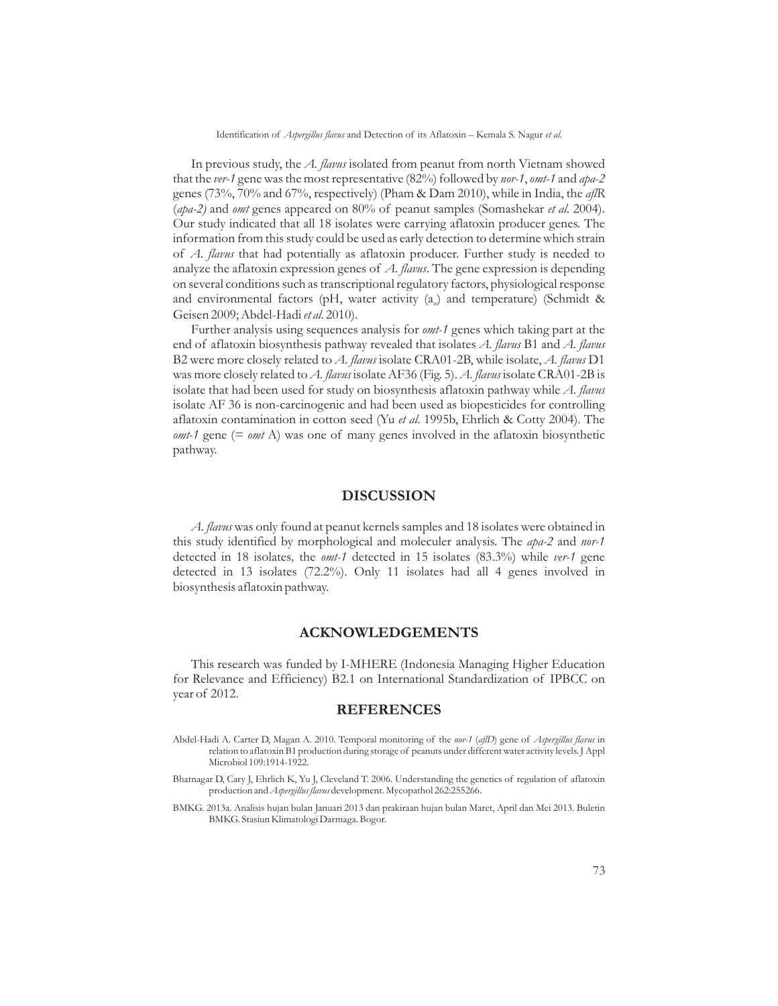Identification of Aspergillus flavus and Detection of its Aflatoxin - Kemala S. Nagur et al.

In previous study, the A. flavus isolated from peanut from north Vietnam showed that the ver-1 gene was the most representative (82%) followed by nor-1, omt-1 and apa-2 genes (73%, 70% and 67%, respectively) (Pham & Dam 2010), while in India, the *aflR* (apa-2) and omt genes appeared on 80% of peanut samples (Somashekar et al. 2004). Our study indicated that all 18 isolates were carrying aflatoxin producer genes. The information from this study could be used as early detection to determine which strain of A. flavus that had potentially as aflatoxin producer. Further study is needed to analyze the aflatoxin expression genes of A. flavus. The gene expression is depending on several conditions such as transcriptional regulatory factors, physiological response and environmental factors (pH, water activity (a<sub>n</sub>) and temperature) (Schmidt & Geisen 2009; Abdel-Hadi et al. 2010).

Further analysis using sequences analysis for omt-1 genes which taking part at the end of aflatoxin biosynthesis pathway revealed that isolates A. flavus B1 and A. flavus B2 were more closely related to A. flavus isolate CRA01-2B, while isolate, A. flavus D1 was more closely related to A. flavus isolate AF36 (Fig. 5). A. flavus isolate CRA01-2B is isolate that had been used for study on biosynthesis aflatoxin pathway while A. flavus isolate AF 36 is non-carcinogenic and had been used as biopesticides for controlling aflatoxin contamination in cotton seed (Yu et al. 1995b, Ehrlich & Cotty 2004). The  $omt-1$  gene (=  $omt$  A) was one of many genes involved in the aflatoxin biosynthetic pathway.

# **DISCUSSION**

A. flavus was only found at peanut kernels samples and 18 isolates were obtained in this study identified by morphological and moleculer analysis. The apa-2 and nor-1 detected in 18 isolates, the omt-1 detected in 15 isolates (83.3%) while ver-1 gene detected in 13 isolates (72.2%). Only 11 isolates had all 4 genes involved in biosynthesis aflatoxin pathway.

### **ACKNOWLEDGEMENTS**

This research was funded by I-MHERE (Indonesia Managing Higher Education for Relevance and Efficiency) B2.1 on International Standardization of IPBCC on year of 2012.

#### **REFERENCES**

- Abdel-Hadi A. Carter D, Magan A. 2010. Temporal monitoring of the *nor-1 (aflD)* gene of *Aspergillus flavus* in relation to aflatoxin B1 production during storage of peanuts under different water activity levels. J Appl Microbiol 109:1914-1922.
- Bhatnagar D, Cary J, Ehrlich K, Yu J, Cleveland T. 2006. Understanding the genetics of regulation of aflatoxin production and *Aspergillus flavus* development. Mycopathol 262:255266.

BMKG. 2013a. Analisis hujan bulan Januari 2013 dan prakiraan hujan bulan Maret, April dan Mei 2013. Buletin BMKG. Stasiun Klimatologi Darmaga. Bogor.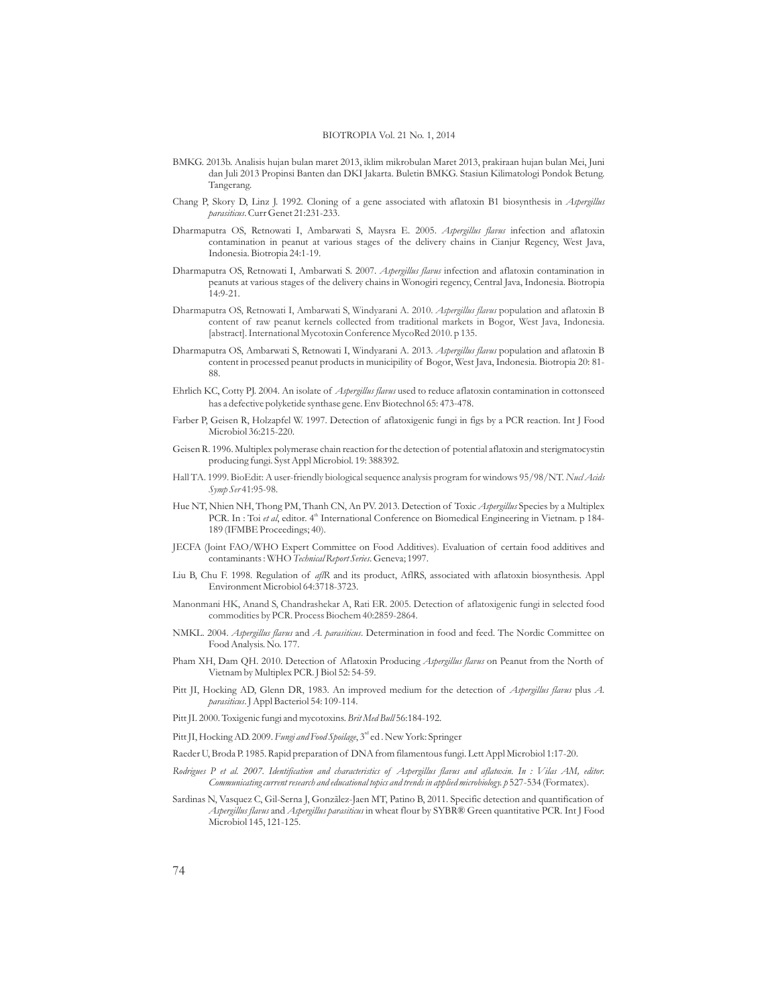- BMKG. 2013b. Analisis hujan bulan maret 2013, iklim mikrobulan Maret 2013, prakiraan hujan bulan Mei, Juni dan Juli 2013 Propinsi Banten dan DKI Jakarta. Buletin BMKG. Stasiun Kilimatologi Pondok Betung. Tangerang.
- Chang P, Skory D, Linz J. 1992. Cloning of a gene associated with aflatoxin B1 biosynthesis in *Aspergillus* . Curr Genet 21:231-233. *parasiticus*
- Dharmaputra OS, Retnowati I, Ambarwati S, Maysra E. 2005. *Aspergillus flavus* infection and aflatoxin contamination in peanut at various stages of the delivery chains in Cianjur Regency, West Java, Indonesia. Biotropia 24:1-19.
- Dharmaputra OS, Retnowati I, Ambarwati S. 2007. *Aspergillus flavus* infection and aflatoxin contamination in peanuts at various stages of the delivery chains in Wonogiri regency, Central Java, Indonesia. Biotropia  $14.9 - 21$
- Dharmaputra OS, Retnowati I, Ambarwati S, Windyarani A. 2010. *Aspergillus flavus* population and aflatoxin B content of raw peanut kernels collected from traditional markets in Bogor, West Java, Indonesia. [abstract]. International Mycotoxin Conference MycoRed 2010. p 135.
- Dharmaputra OS, Ambarwati S, Retnowati I, Windyarani A. 2013. *Aspergillus flavus* population and aflatoxin B content in processed peanut products in municipility of Bogor, West Java, Indonesia. Biotropia 20: 81- 88.
- Ehrlich KC, Cotty PJ. 2004. An isolate of *Aspergillus flavus* used to reduce aflatoxin contamination in cottonseed has a defective polyketide synthase gene. Env Biotechnol 65: 473-478.
- Farber P, Geisen R, Holzapfel W. 1997. Detection of aflatoxigenic fungi in figs by a PCR reaction. Int J Food Microbiol 36:215-220.
- Geisen R. 1996. Multiplex polymerase chain reaction for the detection of potential aflatoxin and sterigmatocystin producing fungi. Syst Appl Microbiol 19: 388392. *.*
- Hall TA. 1999. BioEdit: A user-friendly biological sequence analysis program for windows 95/98/NT. *Nucl Acids* 41:95-98. *Symp Ser*
- Hue NT, Nhien NH, Thong PM, Thanh CN, An PV. 2013. Detection of Toxic *Aspergillus* Species by a Multiplex PCR. In : Toi et al, editor. 4<sup>th</sup> International Conference on Biomedical Engineering in Vietnam. p 184-189 (IFMBE Proceedings; 40).
- JECFA (Joint FAO/WHO Expert Committee on Food Additives). Evaluation of certain food additives and contaminants: WHO Technical Report Series. Geneva; 1997.
- Liu B, Chu F. 1998. Regulation of af/R and its product, AflRS, associated with aflatoxin biosynthesis. Appl Environment Microbiol 64:3718-3723.
- Manonmani HK, Anand S, Chandrashekar A, Rati ER. 2005. Detection of aflatoxigenic fungi in selected food commodities by PCR. Process Biochem 40:2859-2864.
- NMKL. 2004. *Aspergillus flavus* and A. *parasiticus*. Determination in food and feed. The Nordic Committee on Food Analysis. No. 177.
- Pham XH, Dam QH. 2010. Detection of Aflatoxin Producing *Aspergillus flavus* on Peanut from the North of Vietnam by Multiplex PCR. J Biol 52: 54-59.
- Pitt JI, Hocking AD, Glenn DR, 1983. An improved medium for the detection of *Aspergillus flavus* plus A. . J Appl Bacteriol 54: 109-114. *parasiticus*
- Pitt JI. 2000. Toxigenic fungi and mycotoxins. Brit Med Bull 56:184-192.
- Pitt JI, Hocking AD. 2009. *Fungi and Food Spoilage*, 3<sup>rd</sup> ed . New York: Springer
- Raeder U, Broda P. 1985. Rapid preparation of DNA from filamentous fungi. Lett Appl Microbiol 1:17-20.
- Communicating current research and educational topics and trends in applied microbiology. p 527-534 (Formatex). *Rodrigues P et al. 2007. Identification and characteristics of Aspergillus flavus and aflatoxin. In : Vilas AM, editor.*
- Sardinas N, Vasquez C, Gil-Serna J, Gonzãlez-Jaen MT, Patino B, 2011. Specific detection and quantification of As*pergillus flavus* and *Aspergillus parasiticus* in wheat flour by SYBR® Green quantitative PCR. Int J Food Microbiol 145, 121-125.